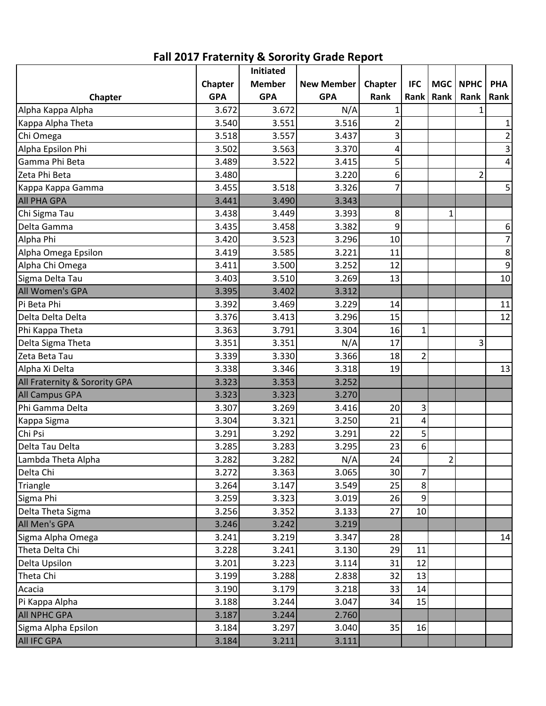|                               |                | Initiated     |                   |                 |                |                |                |                |
|-------------------------------|----------------|---------------|-------------------|-----------------|----------------|----------------|----------------|----------------|
|                               | <b>Chapter</b> | <b>Member</b> | <b>New Member</b> | Chapter         | <b>IFC</b>     | MGC            | <b>NPHC</b>    | <b>PHA</b>     |
| Chapter                       | <b>GPA</b>     | <b>GPA</b>    | <b>GPA</b>        | Rank            | Rank           | Rank           | Rank           | Rank           |
| Alpha Kappa Alpha             | 3.672          | 3.672         | N/A               |                 |                |                |                |                |
| Kappa Alpha Theta             | 3.540          | 3.551         | 3.516             | 2               |                |                |                | $\mathbf 1$    |
| Chi Omega                     | 3.518          | 3.557         | 3.437             | 3               |                |                |                | $\overline{2}$ |
| Alpha Epsilon Phi             | 3.502          | 3.563         | 3.370             | 4               |                |                |                | $\mathsf{3}$   |
| Gamma Phi Beta                | 3.489          | 3.522         | 3.415             | 5               |                |                |                | 4              |
| Zeta Phi Beta                 | 3.480          |               | 3.220             | 6               |                |                | $\overline{2}$ |                |
| Kappa Kappa Gamma             | 3.455          | 3.518         | 3.326             | 7               |                |                |                | 5              |
| <b>All PHA GPA</b>            | 3.441          | 3.490         | 3.343             |                 |                |                |                |                |
| Chi Sigma Tau                 | 3.438          | 3.449         | 3.393             | 8               |                | 1              |                |                |
| Delta Gamma                   | 3.435          | 3.458         | 3.382             | 9               |                |                |                | 6              |
| Alpha Phi                     | 3.420          | 3.523         | 3.296             | 10              |                |                |                | $\overline{7}$ |
| Alpha Omega Epsilon           | 3.419          | 3.585         | 3.221             | 11              |                |                |                | 8              |
| Alpha Chi Omega               | 3.411          | 3.500         | 3.252             | 12              |                |                |                | 9              |
| Sigma Delta Tau               | 3.403          | 3.510         | 3.269             | 13              |                |                |                | 10             |
| All Women's GPA               | 3.395          | 3.402         | 3.312             |                 |                |                |                |                |
| Pi Beta Phi                   | 3.392          | 3.469         | 3.229             | 14              |                |                |                | 11             |
| Delta Delta Delta             | 3.376          | 3.413         | 3.296             | 15              |                |                |                | 12             |
| Phi Kappa Theta               | 3.363          | 3.791         | 3.304             | 16              | $\mathbf{1}$   |                |                |                |
| Delta Sigma Theta             | 3.351          | 3.351         | N/A               | 17              |                |                | 3              |                |
| Zeta Beta Tau                 | 3.339          | 3.330         | 3.366             | 18              | $\overline{c}$ |                |                |                |
| Alpha Xi Delta                | 3.338          | 3.346         | 3.318             | 19              |                |                |                | 13             |
| All Fraternity & Sorority GPA | 3.323          | 3.353         | 3.252             |                 |                |                |                |                |
| <b>All Campus GPA</b>         | 3.323          | 3.323         | 3.270             |                 |                |                |                |                |
| Phi Gamma Delta               | 3.307          | 3.269         | 3.416             | 20              | 3              |                |                |                |
| Kappa Sigma                   | 3.304          | 3.321         | 3.250             | 21              | 4              |                |                |                |
| Chi Psi                       | 3.291          | 3.292         | 3.291             | 22              | 5              |                |                |                |
| Delta Tau Delta               | 3.285          | 3.283         | 3.295             | 23              | 6              |                |                |                |
| Lambda Theta Alpha            | 3.282          | 3.282         | N/A               | 24              |                | $\overline{2}$ |                |                |
| Delta Chi                     | 3.272          | 3.363         | 3.065             | 30 <sup>2</sup> | $\overline{7}$ |                |                |                |
| Triangle                      | 3.264          | 3.147         | 3.549             | 25              | 8              |                |                |                |
| Sigma Phi                     | 3.259          | 3.323         | 3.019             | 26              | 9              |                |                |                |
| Delta Theta Sigma             | 3.256          | 3.352         | 3.133             | 27              | 10             |                |                |                |
| All Men's GPA                 | 3.246          | 3.242         | 3.219             |                 |                |                |                |                |
| Sigma Alpha Omega             | 3.241          | 3.219         | 3.347             | 28              |                |                |                | 14             |
| Theta Delta Chi               | 3.228          | 3.241         | 3.130             | 29              | 11             |                |                |                |
| Delta Upsilon                 | 3.201          | 3.223         | 3.114             | 31              | 12             |                |                |                |
| Theta Chi                     | 3.199          | 3.288         | 2.838             | 32              | 13             |                |                |                |
| Acacia                        | 3.190          | 3.179         | 3.218             | 33              | 14             |                |                |                |
| Pi Kappa Alpha                | 3.188          | 3.244         | 3.047             | 34              | 15             |                |                |                |
| <b>All NPHC GPA</b>           | 3.187          | 3.244         | 2.760             |                 |                |                |                |                |
| Sigma Alpha Epsilon           | 3.184          | 3.297         | 3.040             | 35              | 16             |                |                |                |
| <b>All IFC GPA</b>            | 3.184          | 3.211         | 3.111             |                 |                |                |                |                |

**Fall 2017 Fraternity & Sorority Grade Report**